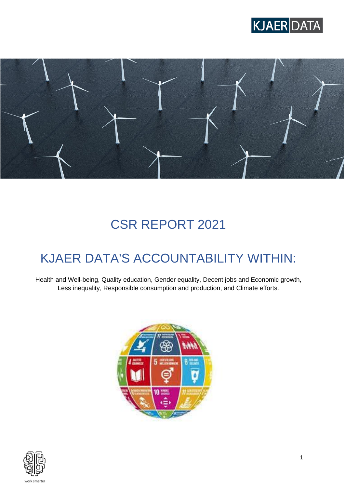



# CSR REPORT 2021

# KJAER DATA'S ACCOUNTABILITY WITHIN:

Health and Well-being, Quality education, Gender equality, Decent jobs and Economic growth, Less inequality, Responsible consumption and production, and Climate efforts.



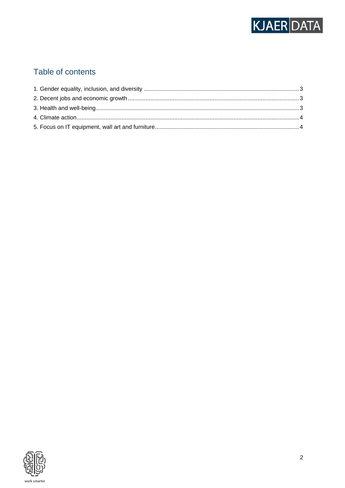

# Table of contents

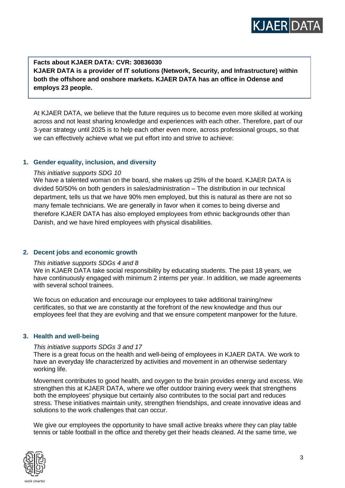

**Facts about KJAER DATA: CVR: 30836030 KJAER DATA is a provider of IT solutions (Network, Security, and Infrastructure) within both the offshore and onshore markets. KJAER DATA has an office in Odense and employs 23 people.**

At KJAER DATA, we believe that the future requires us to become even more skilled at working across and not least sharing knowledge and experiences with each other. Therefore, part of our 3-year strategy until 2025 is to help each other even more, across professional groups, so that we can effectively achieve what we put effort into and strive to achieve:

### <span id="page-2-0"></span>**1. Gender equality, inclusion, and diversity**

### *This initiative supports SDG 10*

We have a talented woman on the board, she makes up 25% of the board. KJAER DATA is divided 50/50% on both genders in sales/administration – The distribution in our technical department, tells us that we have 90% men employed, but this is natural as there are not so many female technicians. We are generally in favor when it comes to being diverse and therefore KJAER DATA has also employed employees from ethnic backgrounds other than Danish, and we have hired employees with physical disabilities.

# <span id="page-2-1"></span>**2. Decent jobs and economic growth**

#### *This initiative supports SDGs 4 and 8*

We in KJAER DATA take social responsibility by educating students. The past 18 years, we have continuously engaged with minimum 2 interns per year. In addition, we made agreements with several school trainees.

We focus on education and encourage our employees to take additional training/new certificates, so that we are constantly at the forefront of the new knowledge and thus our employees feel that they are evolving and that we ensure competent manpower for the future.

#### <span id="page-2-2"></span>**3. Health and well-being**

#### *This initiative supports SDGs 3 and 17*

There is a great focus on the health and well-being of employees in KJAER DATA. We work to have an everyday life characterized by activities and movement in an otherwise sedentary working life.

Movement contributes to good health, and oxygen to the brain provides energy and excess. We strengthen this at KJAER DATA, where we offer outdoor training every week that strengthens both the employees' physique but certainly also contributes to the social part and reduces stress. These initiatives maintain unity, strengthen friendships, and create innovative ideas and solutions to the work challenges that can occur.

We give our employees the opportunity to have small active breaks where they can play table tennis or table football in the office and thereby get their heads cleaned. At the same time, we